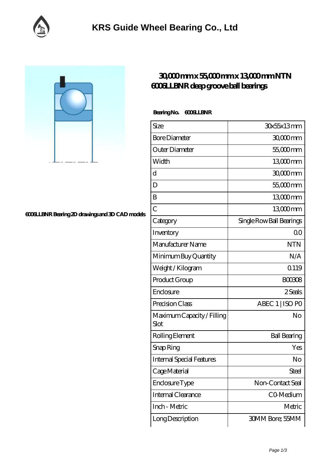

## **[6006LLBNR Bearing 2D drawings and 3D CAD models](https://m.facebook-desktop.com/pic-102694.html)**

## **[30,000 mm x 55,000 mm x 13,000 mm NTN](https://m.facebook-desktop.com/bh-102694-ntn-6006llbnr-deep-groove-ball-bearings.html) [6006LLBNR deep groove ball bearings](https://m.facebook-desktop.com/bh-102694-ntn-6006llbnr-deep-groove-ball-bearings.html)**

## Bearing No. 6006LLBNR

| Size                               | 30x55x13mm               |
|------------------------------------|--------------------------|
| <b>Bore Diameter</b>               | 30,000 mm                |
| Outer Diameter                     | 55,000mm                 |
| Width                              | 13000mm                  |
| d                                  | $3000$ mm                |
| D                                  | 55,000mm                 |
| B                                  | 13000mm                  |
| $\overline{C}$                     | 13000mm                  |
| Category                           | Single Row Ball Bearings |
| Inventory                          | 0 <sup>0</sup>           |
| Manufacturer Name                  | <b>NTN</b>               |
| Minimum Buy Quantity               | N/A                      |
| Weight / Kilogram                  | Q119                     |
| Product Group                      | <b>BOO3O8</b>            |
| Enclosure                          | 2 Seals                  |
| Precision Class                    | ABEC 1   ISO PO          |
| Maximum Capacity / Filling<br>Slot | No                       |
| Rolling Element                    | <b>Ball Bearing</b>      |
| Snap Ring                          | Yes                      |
| <b>Internal Special Features</b>   | No                       |
| Cage Material                      | Steel                    |
| Enclosure Type                     | Non-Contact Seal         |
| Internal Clearance                 | C0-Medium                |
| Inch - Metric                      | Metric                   |
| Long Description                   | <b>30MM Bore; 55MM</b>   |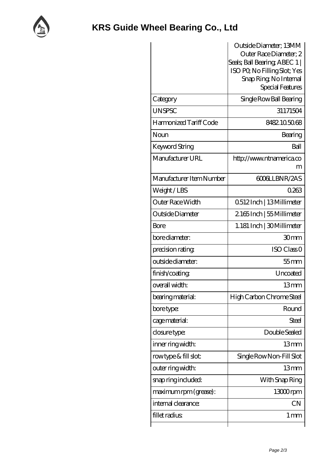

|                          | Outside Diameter; 13MM                                        |
|--------------------------|---------------------------------------------------------------|
|                          | Outer Race Diameter; 2                                        |
|                          | Seals; Ball Bearing; ABEC 1  <br>ISO PO, No Filling Slot; Yes |
|                          | Snap Ring, No Internal                                        |
|                          | Special Features                                              |
| Category                 | Single Row Ball Bearing                                       |
| <b>UNSPSC</b>            | 31171504                                                      |
| Harmonized Tariff Code   | 8482105068                                                    |
| Noun                     | Bearing                                                       |
| Keyword String           | Ball                                                          |
| Manufacturer URL         | http://www.ntnamerica.co                                      |
|                          | m                                                             |
| Manufacturer Item Number | 6006LLBNR/2AS                                                 |
| Weight/LBS               | 0263                                                          |
| Outer Race Width         | 0512Inch   13Millimeter                                       |
| Outside Diameter         | 2165Inch   55 Millimeter                                      |
| Bore                     | 1. 181 Inch   30Millimeter                                    |
| bore diameter:           | 30mm                                                          |
| precision rating         | ISO Class <sub>O</sub>                                        |
| outside diameter:        | $55$ mm                                                       |
| finish/coating           | Uncoated                                                      |
| overall width:           | 13mm                                                          |
| bearing material:        | High Carbon Chrome Steel                                      |
| bore type:               | Round                                                         |
| cage material:           | Steel                                                         |
| closure type:            | Double Sealed                                                 |
| inner ring width:        | 13mm                                                          |
| rowtype & fill slot:     | Single Row Non-Fill Slot                                      |
| outer ring width:        | 13mm                                                          |
| snap ring included:      | With Snap Ring                                                |
| maximum rpm (grease):    | 13000rpm                                                      |
| internal clearance:      | CN                                                            |
| fillet radius            | 1 <sub>mm</sub>                                               |
|                          |                                                               |